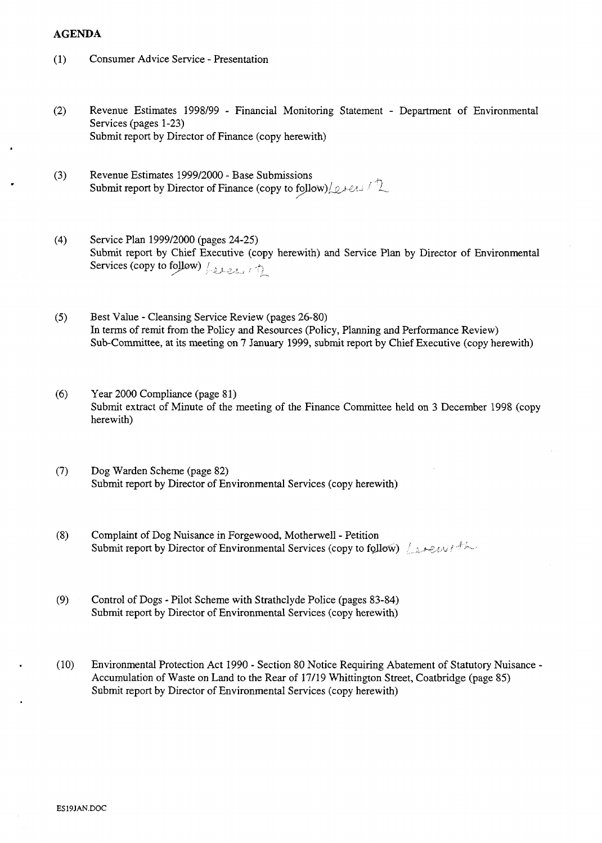## **AGENDA**

- $(1)$ Consumer Advice Service - Presentation
- $(2)$ Revenue Estimates 1998/99 - Financial Monitoring Statement - Department of Environmental Services (pages 1-23) [Submit report by Director of Finance \(copy herewith\)](HTTP://mars.northlan.gov.uk/xpedio/groups/public/documents/report/038612.pdf)
- Revenue Estimates 1999/2000 Base Submissions<br>Submit report by Director of Finance (copy to follow)/*orens*  $(3)$
- $(4)$ Service Plan 1999/2000 (pages 24-25) [Submit report by Chief Executive \(copy herewith\) and Service Plan by Director of Environmental](HTTP://mars.northlan.gov.uk/xpedio/groups/public/documents/report/038614.pdf)  Services (copy to follow)  $\left(\frac{1}{2}e^{i\theta}x\right)$
- $(5)$ Best Value - Cleansing Service Review (pages 26-80) [In terms of remit from the Policy and Resources \(Policy, Planning and Performance Review\)](HTTP://mars.northlan.gov.uk/xpedio/groups/public/documents/report/038616.pdf)  Sub-Committee, at its meeting on **7** January 1999, submit report by Chief Executive (copy herewith)
- Year 2000 Compliance (page 81)  $(6)$ [Submit extract of Minute of the meeting of the Finance Committee held on 3 December 1998 \(copy](HTTP://mars.northlan.gov.uk/xpedio/groups/public/documents/report/038617.pdf)  herewith)
- **(7)** Dog Warden Scheme (page 82) [Submit report by Director of Environmental Services \(copy herewith\)](HTTP://mars.northlan.gov.uk/xpedio/groups/public/documents/report/038618.pdf)
- (8) Complaint of Dog Nuisance in Forgewood, Motherwell Petition Submit report by Director of Environmental Services (copy to follow) *interestal*
- (9) Control of Dogs Pilot Scheme with Strathclyde Police (pages 83-84) [Submit report by Director of Environmental Services \(copy herewith\)](HTTP://mars.northlan.gov.uk/xpedio/groups/public/documents/report/038620.pdf)
- (10) Environmental Protection Act 1990 Section 80 Notice Requiring Abatement of Statutory Nuisance [Accumulation of Waste on Land to the Rear of 17/19 Whittington Street, Coatbridge \(page 85\)](HTTP://mars.northlan.gov.uk/xpedio/groups/public/documents/report/038621.pdf)  Submit report by Director of Environmental Services (copy herewith)